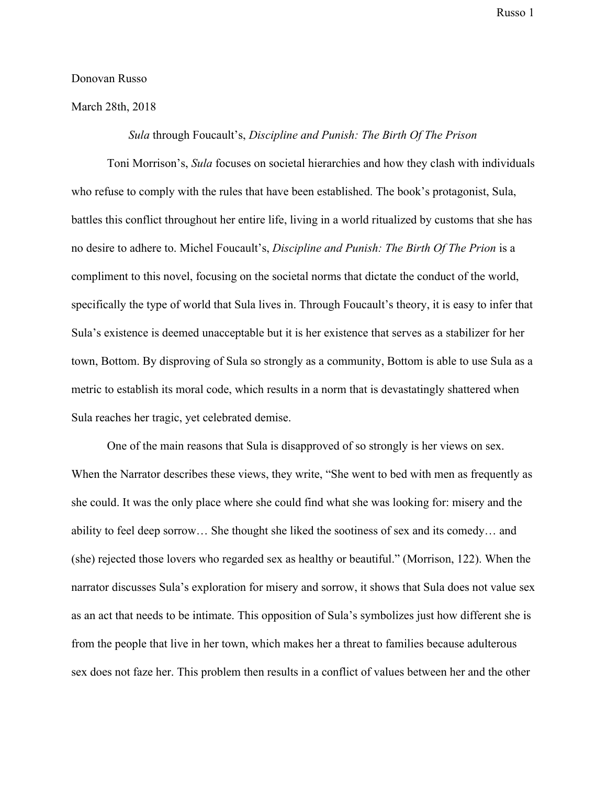## Donovan Russo

March 28th, 2018

## *Sula* through Foucault's, *Discipline and Punish: The Birth Of The Prison*

Toni Morrison's, *Sula* focuses on societal hierarchies and how they clash with individuals who refuse to comply with the rules that have been established. The book's protagonist, Sula, battles this conflict throughout her entire life, living in a world ritualized by customs that she has no desire to adhere to. Michel Foucault's, *Discipline and Punish: The Birth Of The Prion* is a compliment to this novel, focusing on the societal norms that dictate the conduct of the world, specifically the type of world that Sula lives in. Through Foucault's theory, it is easy to infer that Sula's existence is deemed unacceptable but it is her existence that serves as a stabilizer for her town, Bottom. By disproving of Sula so strongly as a community, Bottom is able to use Sula as a metric to establish its moral code, which results in a norm that is devastatingly shattered when Sula reaches her tragic, yet celebrated demise.

One of the main reasons that Sula is disapproved of so strongly is her views on sex. When the Narrator describes these views, they write, "She went to bed with men as frequently as she could. It was the only place where she could find what she was looking for: misery and the ability to feel deep sorrow… She thought she liked the sootiness of sex and its comedy… and (she) rejected those lovers who regarded sex as healthy or beautiful." (Morrison, 122). When the narrator discusses Sula's exploration for misery and sorrow, it shows that Sula does not value sex as an act that needs to be intimate. This opposition of Sula's symbolizes just how different she is from the people that live in her town, which makes her a threat to families because adulterous sex does not faze her. This problem then results in a conflict of values between her and the other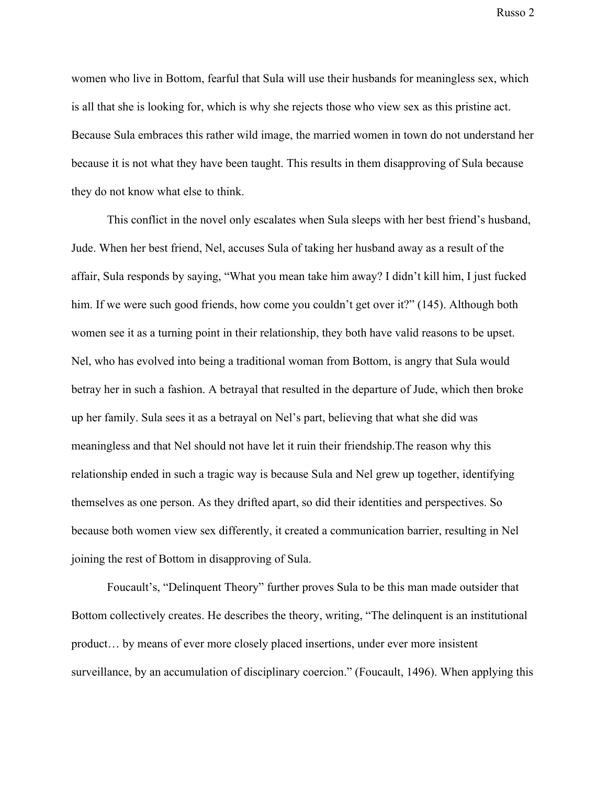women who live in Bottom, fearful that Sula will use their husbands for meaningless sex, which is all that she is looking for, which is why she rejects those who view sex as this pristine act. Because Sula embraces this rather wild image, the married women in town do not understand her because it is not what they have been taught. This results in them disapproving of Sula because they do not know what else to think.

This conflict in the novel only escalates when Sula sleeps with her best friend's husband, Jude. When her best friend, Nel, accuses Sula of taking her husband away as a result of the affair, Sula responds by saying, "What you mean take him away? I didn't kill him, I just fucked him. If we were such good friends, how come you couldn't get over it?" (145). Although both women see it as a turning point in their relationship, they both have valid reasons to be upset. Nel, who has evolved into being a traditional woman from Bottom, is angry that Sula would betray her in such a fashion. A betrayal that resulted in the departure of Jude, which then broke up her family. Sula sees it as a betrayal on Nel's part, believing that what she did was meaningless and that Nel should not have let it ruin their friendship.The reason why this relationship ended in such a tragic way is because Sula and Nel grew up together, identifying themselves as one person. As they drifted apart, so did their identities and perspectives. So because both women view sex differently, it created a communication barrier, resulting in Nel joining the rest of Bottom in disapproving of Sula.

Foucault's, "Delinquent Theory" further proves Sula to be this man made outsider that Bottom collectively creates. He describes the theory, writing, "The delinquent is an institutional product… by means of ever more closely placed insertions, under ever more insistent surveillance, by an accumulation of disciplinary coercion." (Foucault, 1496). When applying this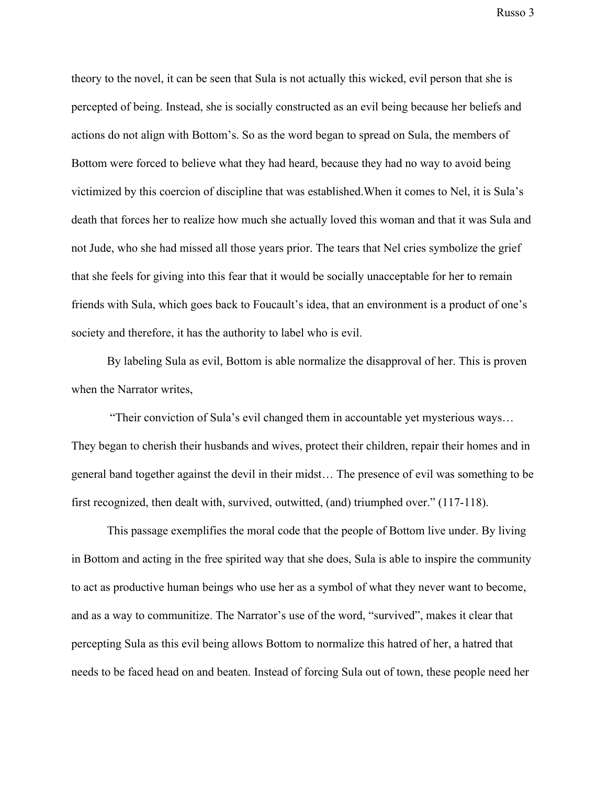theory to the novel, it can be seen that Sula is not actually this wicked, evil person that she is percepted of being. Instead, she is socially constructed as an evil being because her beliefs and actions do not align with Bottom's. So as the word began to spread on Sula, the members of Bottom were forced to believe what they had heard, because they had no way to avoid being victimized by this coercion of discipline that was established.When it comes to Nel, it is Sula's death that forces her to realize how much she actually loved this woman and that it was Sula and not Jude, who she had missed all those years prior. The tears that Nel cries symbolize the grief that she feels for giving into this fear that it would be socially unacceptable for her to remain friends with Sula, which goes back to Foucault's idea, that an environment is a product of one's society and therefore, it has the authority to label who is evil.

By labeling Sula as evil, Bottom is able normalize the disapproval of her. This is proven when the Narrator writes,

 "Their conviction of Sula's evil changed them in accountable yet mysterious ways… They began to cherish their husbands and wives, protect their children, repair their homes and in general band together against the devil in their midst… The presence of evil was something to be first recognized, then dealt with, survived, outwitted, (and) triumphed over." (117-118).

This passage exemplifies the moral code that the people of Bottom live under. By living in Bottom and acting in the free spirited way that she does, Sula is able to inspire the community to act as productive human beings who use her as a symbol of what they never want to become, and as a way to communitize. The Narrator's use of the word, "survived", makes it clear that percepting Sula as this evil being allows Bottom to normalize this hatred of her, a hatred that needs to be faced head on and beaten. Instead of forcing Sula out of town, these people need her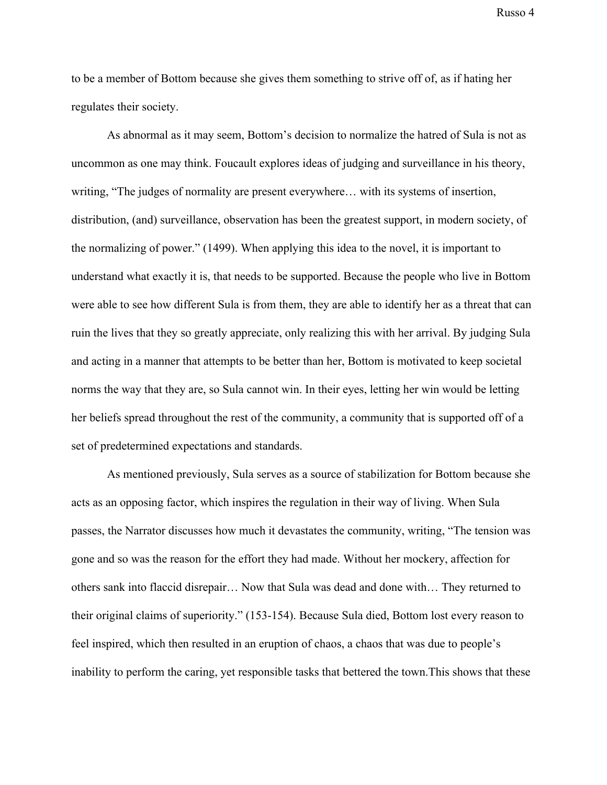to be a member of Bottom because she gives them something to strive off of, as if hating her regulates their society.

As abnormal as it may seem, Bottom's decision to normalize the hatred of Sula is not as uncommon as one may think. Foucault explores ideas of judging and surveillance in his theory, writing, "The judges of normality are present everywhere… with its systems of insertion, distribution, (and) surveillance, observation has been the greatest support, in modern society, of the normalizing of power." (1499). When applying this idea to the novel, it is important to understand what exactly it is, that needs to be supported. Because the people who live in Bottom were able to see how different Sula is from them, they are able to identify her as a threat that can ruin the lives that they so greatly appreciate, only realizing this with her arrival. By judging Sula and acting in a manner that attempts to be better than her, Bottom is motivated to keep societal norms the way that they are, so Sula cannot win. In their eyes, letting her win would be letting her beliefs spread throughout the rest of the community, a community that is supported off of a set of predetermined expectations and standards.

As mentioned previously, Sula serves as a source of stabilization for Bottom because she acts as an opposing factor, which inspires the regulation in their way of living. When Sula passes, the Narrator discusses how much it devastates the community, writing, "The tension was gone and so was the reason for the effort they had made. Without her mockery, affection for others sank into flaccid disrepair… Now that Sula was dead and done with… They returned to their original claims of superiority." (153-154). Because Sula died, Bottom lost every reason to feel inspired, which then resulted in an eruption of chaos, a chaos that was due to people's inability to perform the caring, yet responsible tasks that bettered the town.This shows that these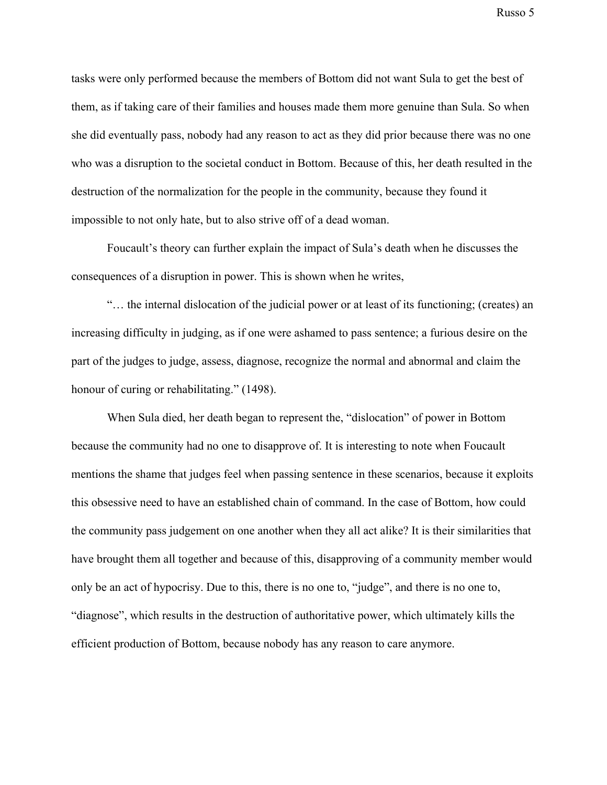tasks were only performed because the members of Bottom did not want Sula to get the best of them, as if taking care of their families and houses made them more genuine than Sula. So when she did eventually pass, nobody had any reason to act as they did prior because there was no one who was a disruption to the societal conduct in Bottom. Because of this, her death resulted in the destruction of the normalization for the people in the community, because they found it impossible to not only hate, but to also strive off of a dead woman.

Foucault's theory can further explain the impact of Sula's death when he discusses the consequences of a disruption in power. This is shown when he writes,

"… the internal dislocation of the judicial power or at least of its functioning; (creates) an increasing difficulty in judging, as if one were ashamed to pass sentence; a furious desire on the part of the judges to judge, assess, diagnose, recognize the normal and abnormal and claim the honour of curing or rehabilitating." (1498).

When Sula died, her death began to represent the, "dislocation" of power in Bottom because the community had no one to disapprove of. It is interesting to note when Foucault mentions the shame that judges feel when passing sentence in these scenarios, because it exploits this obsessive need to have an established chain of command. In the case of Bottom, how could the community pass judgement on one another when they all act alike? It is their similarities that have brought them all together and because of this, disapproving of a community member would only be an act of hypocrisy. Due to this, there is no one to, "judge", and there is no one to, "diagnose", which results in the destruction of authoritative power, which ultimately kills the efficient production of Bottom, because nobody has any reason to care anymore.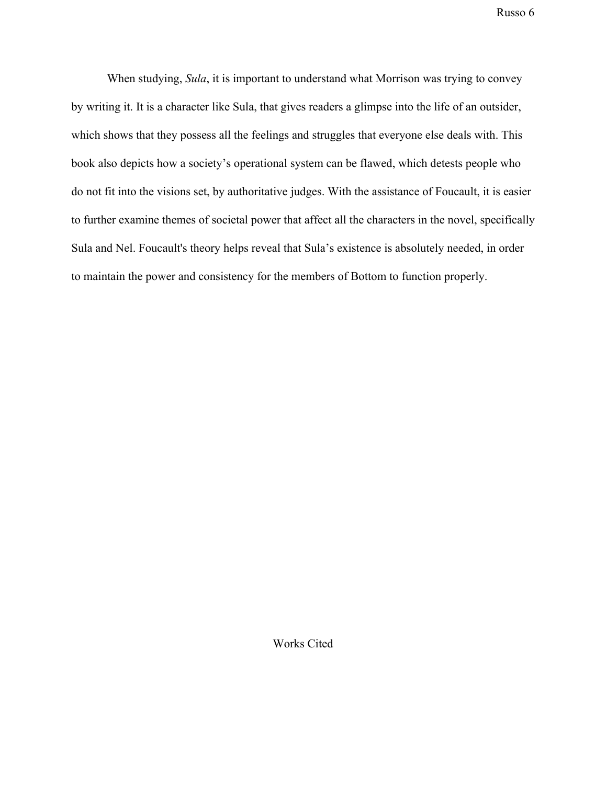When studying, *Sula*, it is important to understand what Morrison was trying to convey by writing it. It is a character like Sula, that gives readers a glimpse into the life of an outsider, which shows that they possess all the feelings and struggles that everyone else deals with. This book also depicts how a society's operational system can be flawed, which detests people who do not fit into the visions set, by authoritative judges. With the assistance of Foucault, it is easier to further examine themes of societal power that affect all the characters in the novel, specifically Sula and Nel. Foucault's theory helps reveal that Sula's existence is absolutely needed, in order to maintain the power and consistency for the members of Bottom to function properly.

Works Cited